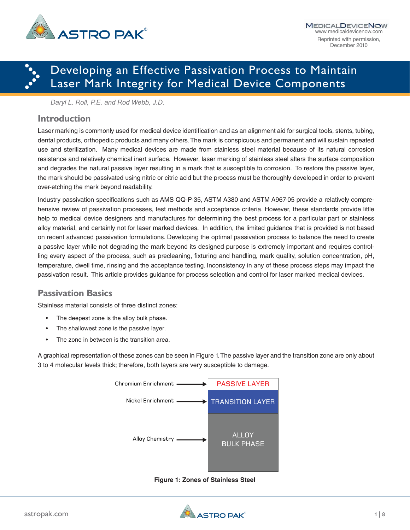

# ·<br>···· Developing an Effective Passivation Process to Maintain Laser Mark Integrity for Medical Device Components

*Daryl L. Roll, P.E. and Rod Webb, J.D.*

### **Introduction**

Laser marking is commonly used for medical device identification and as an alignment aid for surgical tools, stents, tubing, dental products, orthopedic products and many others. The mark is conspicuous and permanent and will sustain repeated use and sterilization. Many medical devices are made from stainless steel material because of its natural corrosion resistance and relatively chemical inert surface. However, laser marking of stainless steel alters the surface composition and degrades the natural passive layer resulting in a mark that is susceptible to corrosion. To restore the passive layer, the mark should be passivated using nitric or citric acid but the process must be thoroughly developed in order to prevent over-etching the mark beyond readability.

Industry passivation specifications such as AMS QQ-P-35, ASTM A380 and ASTM A967-05 provide a relatively comprehensive review of passivation processes, test methods and acceptance criteria. However, these standards provide little help to medical device designers and manufactures for determining the best process for a particular part or stainless alloy material, and certainly not for laser marked devices. In addition, the limited guidance that is provided is not based on recent advanced passivation formulations. Developing the optimal passivation process to balance the need to create a passive layer while not degrading the mark beyond its designed purpose is extremely important and requires controlling every aspect of the process, such as precleaning, fixturing and handling, mark quality, solution concentration, pH, temperature, dwell time, rinsing and the acceptance testing. Inconsistency in any of these process steps may impact the passivation result. This article provides guidance for process selection and control for laser marked medical devices.

## **Passivation Basics**

Stainless material consists of three distinct zones:

- The deepest zone is the alloy bulk phase.
- The shallowest zone is the passive layer.
- The zone in between is the transition area.

A graphical representation of these zones can be seen in Figure 1. The passive layer and the transition zone are only about 3 to 4 molecular levels thick; therefore, both layers are very susceptible to damage.



**Figure 1: Zones of Stainless Steel**

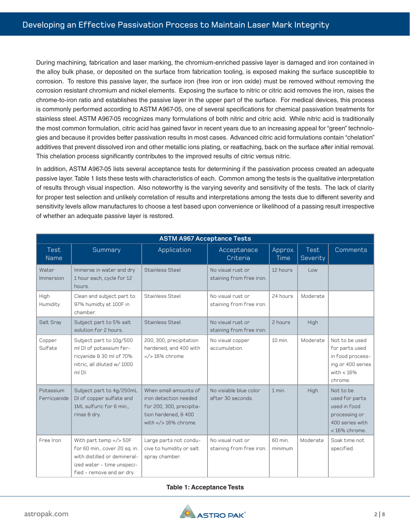During machining, fabrication and laser marking, the chromium-enriched passive layer is damaged and iron contained in the alloy bulk phase, or deposited on the surface from fabrication tooling, is exposed making the surface susceptible to corrosion. To restore this passive layer, the surface iron (free iron or iron oxide) must be removed without removing the corrosion resistant chromium and nickel elements. Exposing the surface to nitric or citric acid removes the iron, raises the chrome-to-iron ratio and establishes the passive layer in the upper part of the surface. For medical devices, this process is commonly performed according to ASTM A967-05, one of several specifications for chemical passivation treatments for stainless steel. ASTM A967-05 recognizes many formulations of both nitric and citric acid. While nitric acid is traditionally the most common formulation, citric acid has gained favor in recent years due to an increasing appeal for "green" technologies and because it provides better passivation results in most cases. Advanced citric acid formulations contain "chelation" additives that prevent dissolved iron and other metallic ions plating, or reattaching, back on the surface after initial removal. This chelation process significantly contributes to the improved results of citric versus nitric.

In addition, ASTM A967-05 lists several acceptance tests for determining if the passivation process created an adequate passive layer. Table 1 lists these tests with characteristics of each. Common among the tests is the qualitative interpretation of results through visual inspection. Also noteworthy is the varying severity and sensitivity of the tests. The lack of clarity for proper test selection and unlikely correlation of results and interpretations among the tests due to different severity and sensitivity levels allow manufactures to choose a test based upon convenience or likelihood of a passing result irrespective of whether an adequate passive layer is restored.

| <b>ASTM A967 Acceptance Tests</b> |                                                                                                                                                        |                                                                                                                               |                                               |                    |                                                     |                                                                                                       |  |  |  |
|-----------------------------------|--------------------------------------------------------------------------------------------------------------------------------------------------------|-------------------------------------------------------------------------------------------------------------------------------|-----------------------------------------------|--------------------|-----------------------------------------------------|-------------------------------------------------------------------------------------------------------|--|--|--|
| Test<br><b>Name</b>               | Summary                                                                                                                                                | Application                                                                                                                   | Acceptanace<br>Criteria                       | Approx.<br>Time    | Test<br>Severity                                    | Comments                                                                                              |  |  |  |
| Water<br>Immersion                | Immerse in water and dry<br>1 hour each, cycle for 12<br>hours.                                                                                        | <b>Stainless Steel</b>                                                                                                        | No visual rust or<br>staining from free iron. | 12 hours           | $\overline{\phantom{0}}$ l $\overline{\phantom{0}}$ |                                                                                                       |  |  |  |
| High<br>Humidity                  | Clean and subject part to<br>97% humidty at 100F in<br>chamber.                                                                                        | Stainless Steel                                                                                                               | No visual rust or<br>staining from free iron. | 24 hours           | Moderate                                            |                                                                                                       |  |  |  |
| Salt Sray                         | Subject part to 5% salt<br>solution for 2 hours.                                                                                                       | <b>Stainless Steel</b>                                                                                                        | No visual rust or<br>staining from free iron. | 2 hours            | High                                                |                                                                                                       |  |  |  |
| Copper<br>Sulfate                 | Subject part to 10g/500<br>ml DI of potassium fer-<br>ricyanide & 30 ml of 70%<br>nitric, all diluted w/ 1000<br>ml DI.                                | 200, 300, precipitation<br>hardened, and 400 with<br>$=$ /> 16% chrome                                                        | No visual copper<br>accumulation.             | 10 min.            | Moderate                                            | Not to be used<br>for parts used<br>in food process-<br>ing or 400 series<br>with $< 16\%$<br>chrome. |  |  |  |
| Potassium<br>Ferricyanide         | Subject part to 4g/250mL<br>DI of copper sulfate and<br>1ML sulfuric for 6 min.,<br>rinse & dry.                                                       | When small amounts of<br>iron detection needed<br>for 200, 300, precipita-<br>tion hardened, & 400<br>with $=$ /> 16% chrome. | No visiable blue color<br>after 30 seconds.   | $1$ min.           | High                                                | Not to be<br>used for parts<br>used in food<br>processing or<br>400 series with<br>$<$ 16% chrome.    |  |  |  |
| Free Iron                         | With part temp $=$ /> 50F<br>for 60 min., cover 20 sq. in.<br>with distilled or demineral-<br>ized water - time unspeci-<br>fied - remove and air dry. | Large parts not condu-<br>cive to humidity or salt<br>spray chamber.                                                          | No visual rust or<br>staining from free iron. | 60 min.<br>minimum | Moderate                                            | Soak time not<br>specified.                                                                           |  |  |  |

#### **Table 1: Acceptance Tests**

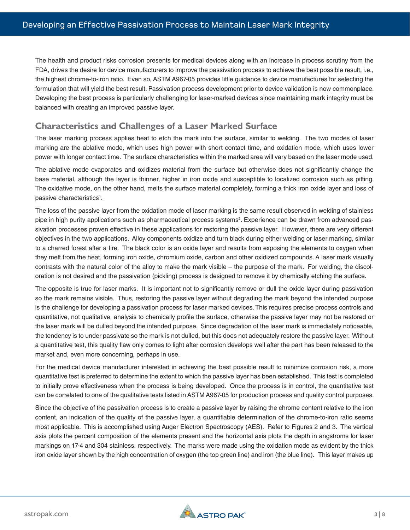The health and product risks corrosion presents for medical devices along with an increase in process scrutiny from the FDA, drives the desire for device manufacturers to improve the passivation process to achieve the best possible result, i.e., the highest chrome-to-iron ratio. Even so, ASTM A967-05 provides little guidance to device manufactures for selecting the formulation that will yield the best result. Passivation process development prior to device validation is now commonplace. Developing the best process is particularly challenging for laser-marked devices since maintaining mark integrity must be balanced with creating an improved passive layer.

## **Characteristics and Challenges of a Laser Marked Surface**

The laser marking process applies heat to etch the mark into the surface, similar to welding. The two modes of laser marking are the ablative mode, which uses high power with short contact time, and oxidation mode, which uses lower power with longer contact time. The surface characteristics within the marked area will vary based on the laser mode used.

The ablative mode evaporates and oxidizes material from the surface but otherwise does not significantly change the base material, although the layer is thinner, higher in iron oxide and susceptible to localized corrosion such as pitting. The oxidative mode, on the other hand, melts the surface material completely, forming a thick iron oxide layer and loss of passive characteristics<sup>1</sup>.

The loss of the passive layer from the oxidation mode of laser marking is the same result observed in welding of stainless pipe in high purity applications such as pharmaceutical process systems<sup>2</sup>. Experience can be drawn from advanced passivation processes proven effective in these applications for restoring the passive layer. However, there are very different objectives in the two applications. Alloy components oxidize and turn black during either welding or laser marking, similar to a charred forest after a fire. The black color is an oxide layer and results from exposing the elements to oxygen when they melt from the heat, forming iron oxide, chromium oxide, carbon and other oxidized compounds. A laser mark visually contrasts with the natural color of the alloy to make the mark visible – the purpose of the mark. For welding, the discoloration is not desired and the passivation (pickling) process is designed to remove it by chemically etching the surface.

The opposite is true for laser marks. It is important not to significantly remove or dull the oxide layer during passivation so the mark remains visible. Thus, restoring the passive layer without degrading the mark beyond the intended purpose is the challenge for developing a passivation process for laser marked devices. This requires precise process controls and quantitative, not qualitative, analysis to chemically profile the surface, otherwise the passive layer may not be restored or the laser mark will be dulled beyond the intended purpose. Since degradation of the laser mark is immediately noticeable, the tendency is to under passivate so the mark is not dulled, but this does not adequately restore the passive layer. Without a quantitative test, this quality flaw only comes to light after corrosion develops well after the part has been released to the market and, even more concerning, perhaps in use.

For the medical device manufacturer interested in achieving the best possible result to minimize corrosion risk, a more quantitative test is preferred to determine the extent to which the passive layer has been established. This test is completed to initially prove effectiveness when the process is being developed. Once the process is in control, the quantitative test can be correlated to one of the qualitative tests listed in ASTM A967-05 for production process and quality control purposes.

Since the objective of the passivation process is to create a passive layer by raising the chrome content relative to the iron content, an indication of the quality of the passive layer, a quantifiable determination of the chrome-to-iron ratio seems most applicable. This is accomplished using Auger Electron Spectroscopy (AES). Refer to Figures 2 and 3. The vertical axis plots the percent composition of the elements present and the horizontal axis plots the depth in angstroms for laser markings on 17-4 and 304 stainless, respectively. The marks were made using the oxidation mode as evident by the thick iron oxide layer shown by the high concentration of oxygen (the top green line) and iron (the blue line). This layer makes up

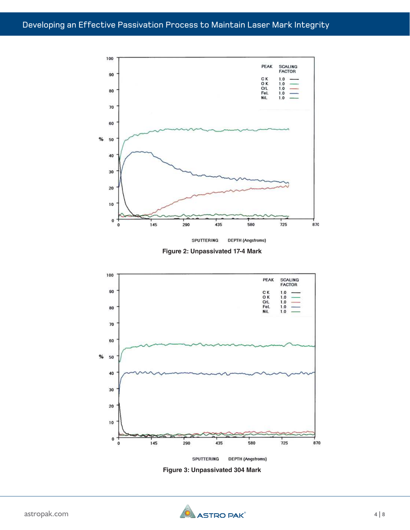

**Figure 2: Unpassivated 17-4 Mark**



**Figure 3: Unpassivated 304 Mark**

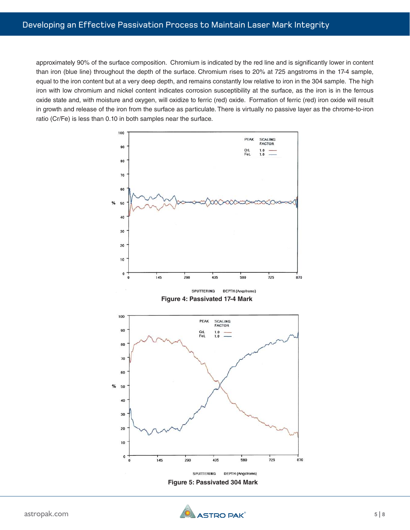approximately 90% of the surface composition. Chromium is indicated by the red line and is significantly lower in content than iron (blue line) throughout the depth of the surface. Chromium rises to 20% at 725 angstroms in the 17-4 sample, equal to the iron content but at a very deep depth, and remains constantly low relative to iron in the 304 sample. The high iron with low chromium and nickel content indicates corrosion susceptibility at the surface, as the iron is in the ferrous oxide state and, with moisture and oxygen, will oxidize to ferric (red) oxide. Formation of ferric (red) iron oxide will result in growth and release of the iron from the surface as particulate. There is virtually no passive layer as the chrome-to-iron ratio (Cr/Fe) is less than 0.10 in both samples near the surface.



**Figure 5: Passivated 304 Mark**

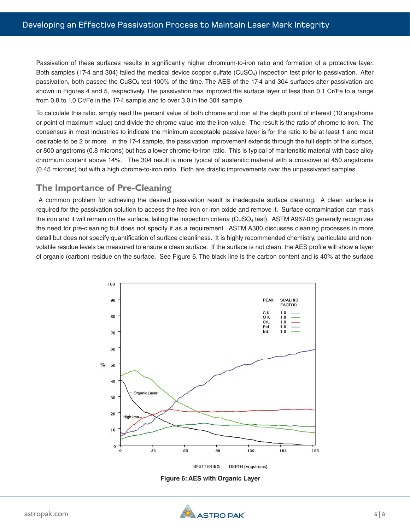Passivation of these surfaces results in significantly higher chromium-to-iron ratio and formation of a protective layer. Both samples (17-4 and 304) failed the medical device copper sulfate (CuSO<sub>4</sub>) inspection test prior to passivation. After passivation, both passed the  $CuSO<sub>4</sub>$  test 100% of the time. The AES of the 17-4 and 304 surfaces after passivation are shown in Figures 4 and 5, respectively. The passivation has improved the surface layer of less than 0.1 Cr/Fe to a range from 0.8 to 1.0 Cr/Fe in the 17-4 sample and to over 3.0 in the 304 sample.

To calculate this ratio, simply read the percent value of both chrome and iron at the depth point of interest (10 angstroms or point of maximum value) and divide the chrome value into the iron value. The result is the ratio of chrome to iron. The consensus in most industries to indicate the minimum acceptable passive layer is for the ratio to be at least 1 and most desirable to be 2 or more. In the 17-4 sample, the passivation improvement extends through the full depth of the surface, or 800 angstroms (0.8 microns) but has a lower chrome-to-iron ratio. This is typical of martensitic material with base alloy chromium content above 14%. The 304 result is more typical of austenitic material with a crossover at 450 angstroms (0.45 microns) but with a high chrome-to-iron ratio. Both are drastic improvements over the unpassivated samples.

### **The Importance of Pre-Cleaning**

 A common problem for achieving the desired passivation result is inadequate surface cleaning. A clean surface is required for the passivation solution to access the free iron or iron oxide and remove it. Surface contamination can mask the iron and it will remain on the surface, failing the inspection criteria (CuSO<sub>4</sub> test). ASTM A967-05 generally recognizes the need for pre-cleaning but does not specify it as a requirement. ASTM A380 discusses cleaning processes in more detail but does not specify quantification of surface cleanliness. It is highly recommended chemistry, particulate and nonvolatile residue levels be measured to ensure a clean surface. If the surface is not clean, the AES profile will show a layer of organic (carbon) residue on the surface. See Figure 6. The black line is the carbon content and is 40% at the surface



**Figure 6: AES with Organic Layer**

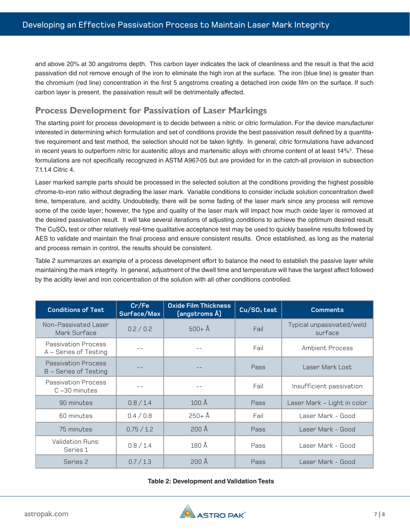and above 20% at 30 angstroms depth. This carbon layer indicates the lack of cleanliness and the result is that the acid passivation did not remove enough of the iron to eliminate the high iron at the surface. The iron (blue line) is greater than the chromium (red line) concentration in the first 5 angstroms creating a detached iron oxide film on the surface. If such carbon layer is present, the passivation result will be detrimentally affected.

## **Process Development for Passivation of Laser Markings**

The starting point for process development is to decide between a nitric or citric formulation. For the device manufacturer interested in determining which formulation and set of conditions provide the best passivation result defined by a quantitative requirement and test method, the selection should not be taken lightly. In general, citric formulations have advanced in recent years to outperform nitric for austenitic alloys and martensitic alloys with chrome content of at least 14%<sup>3</sup>. These formulations are not specifically recognized in ASTM A967-05 but are provided for in the catch-all provision in subsection 7.1.1.4 Citric 4.

Laser marked sample parts should be processed in the selected solution at the conditions providing the highest possible chrome-to-iron ratio without degrading the laser mark. Variable conditions to consider include solution concentration dwell time, temperature, and acidity. Undoubtedly, there will be some fading of the laser mark since any process will remove some of the oxide layer; however, the type and quality of the laser mark will impact how much oxide layer is removed at the desired passivation result. It will take several iterations of adjusting conditions to achieve the optimum desired result. The  $CuSO<sub>4</sub>$  test or other relatively real-time qualitative acceptance test may be used to quickly baseline results followed by AES to validate and maintain the final process and ensure consistent results. Once established, as long as the material and process remain in control, the results should be consistent.

Table 2 summarizes an example of a process development effort to balance the need to establish the passive layer while maintaining the mark integrity. In general, adjustment of the dwell time and temperature will have the largest affect followed by the acidity level and iron concentration of the solution with all other conditions controlled.

| <b>Conditions of Test</b>                           | Cr/Fe<br>Surface/Max | <b>Oxide Film Thickness</b><br>(angstroms Å) | $Cu/SO4$ test | <b>Comments</b>                      |  |
|-----------------------------------------------------|----------------------|----------------------------------------------|---------------|--------------------------------------|--|
| Non-Passivated Laser<br>Mark Surface                | 0.2 / 0.2            | $500 + A$                                    | Fail          | Typical unpassivated/weld<br>surface |  |
| <b>Passivation Process</b><br>A - Series of Testing |                      |                                              | Fail          | Ambient Process                      |  |
| <b>Passivation Process</b><br>B - Series of Testing |                      |                                              | Pass          | Laser Mark Lost                      |  |
| <b>Passivation Process</b><br>$C - 30$ minutes      |                      |                                              | Fail          | Insufficient passivation             |  |
| 90 minutes                                          | 0.8 / 1.4            | 100 <sub>A</sub>                             | Pass          | Laser Mark - Light in color          |  |
| 60 minutes                                          | 0.4 / 0.8            | $250 + A$                                    | Fail          | Laser Mark - Good                    |  |
| 75 minutes                                          | 0.75 / 1.2           | 200 Å                                        | Pass          | Laser Mark - Good                    |  |
| <b>Validation Runs:</b><br>Series 1                 | 0.8 / 1.4            | 180 Å                                        | Pass          | Laser Mark - Good                    |  |
| Series 2                                            | 0.7 / 1.3            | 200 Å                                        | Pass          | Laser Mark - Good                    |  |

#### **Table 2: Development and Validation Tests**